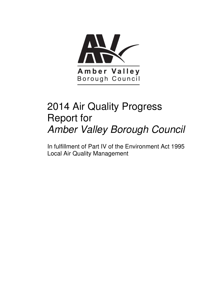

# 2014 Air Quality Progress Report for Amber Valley Borough Council

In fulfillment of Part IV of the Environment Act 1995 Local Air Quality Management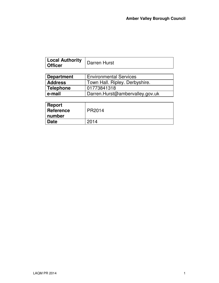٦

| <b>Local Authority</b><br>∣ Officer | Darren Hurst                  |  |
|-------------------------------------|-------------------------------|--|
|                                     |                               |  |
| <b>Department</b>                   | <b>Environmental Services</b> |  |

| -------------  |                                 |
|----------------|---------------------------------|
| <b>Address</b> | Town Hall. Ripley. Derbyshire.  |
| Telephone      | 01773841318                     |
| e-mail         | Darren.Hurst@ambervalley.gov.uk |

| Report<br><b>Reference</b><br>number | PR2014 |
|--------------------------------------|--------|
| <b>Date</b>                          | 2014   |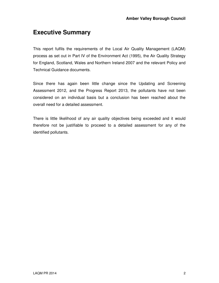## **Executive Summary**

This report fulfils the requirements of the Local Air Quality Management (LAQM) process as set out in Part IV of the Environment Act (1995), the Air Quality Strategy for England, Scotland, Wales and Northern Ireland 2007 and the relevant Policy and Technical Guidance documents.

Since there has again been little change since the Updating and Screening Assessment 2012, and the Progress Report 2013, the pollutants have not been considered on an individual basis but a conclusion has been reached about the overall need for a detailed assessment.

There is little likelihood of any air quality objectives being exceeded and it would therefore not be justifiable to proceed to a detailed assessment for any of the identified pollutants.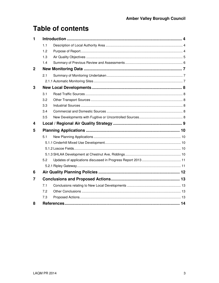## **Table of contents**

| 1            |     |                    |  |  |
|--------------|-----|--------------------|--|--|
|              | 1.1 |                    |  |  |
|              | 1.2 |                    |  |  |
|              | 1.3 |                    |  |  |
|              | 1.4 |                    |  |  |
| $\mathbf{2}$ |     |                    |  |  |
|              | 2.1 |                    |  |  |
|              |     |                    |  |  |
| 3            |     |                    |  |  |
|              | 3.1 |                    |  |  |
|              | 3.2 |                    |  |  |
|              | 3.3 |                    |  |  |
|              | 3.4 |                    |  |  |
|              | 3.5 |                    |  |  |
| 4            |     |                    |  |  |
| 5            |     |                    |  |  |
|              | 5.1 |                    |  |  |
|              |     |                    |  |  |
|              |     |                    |  |  |
|              |     |                    |  |  |
|              | 5.2 |                    |  |  |
|              |     |                    |  |  |
| 6            |     |                    |  |  |
| 7            |     |                    |  |  |
|              | 7.1 |                    |  |  |
|              | 7.2 |                    |  |  |
|              | 7.3 |                    |  |  |
| 8            |     | References<br>. 14 |  |  |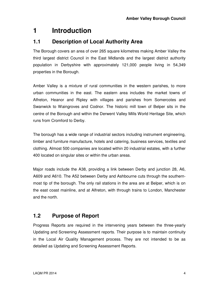## **1 Introduction**

#### **1.1 Description of Local Authority Area**

The Borough covers an area of over 265 square kilometres making Amber Valley the third largest district Council in the East Midlands and the largest district authority population in Derbyshire with approximately 121,000 people living in 54,349 properties in the Borough.

Amber Valley is a mixture of rural communities in the western parishes, to more urban communities in the east. The eastern area includes the market towns of Alfreton, Heanor and Ripley with villages and parishes from Somercotes and Swanwick to Waingroves and Codnor. The historic mill town of Belper sits in the centre of the Borough and within the Derwent Valley Mills World Heritage Site, which runs from Cromford to Derby.

The borough has a wide range of industrial sectors including instrument engineering, timber and furniture manufacture, hotels and catering, business services, textiles and clothing. Almost 500 companies are located within 20 industrial estates, with a further 400 located on singular sites or within the urban areas.

Major roads include the A38, providing a link between Derby and junction 28, A6, A609 and A610. The A52 between Derby and Ashbourne cuts through the southernmost tip of the borough. The only rail stations in the area are at Belper, which is on the east coast mainline, and at Alfreton, with through trains to London, Manchester and the north.

### **1.2 Purpose of Report**

Progress Reports are required in the intervening years between the three-yearly Updating and Screening Assessment reports. Their purpose is to maintain continuity in the Local Air Quality Management process. They are not intended to be as detailed as Updating and Screening Assessment Reports.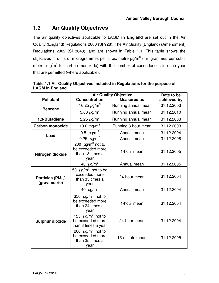### **1.3 Air Quality Objectives**

The air quality objectives applicable to LAQM **in England** are set out in the Air Quality (England) Regulations 2000 (SI 928), The Air Quality (England) (Amendment) Regulations 2002 (SI 3043), and are shown in Table 1.1. This table shows the objectives in units of microgrammes per cubic metre  $\mu$ g/m $^3$  (milligrammes per cubic metre, mg $'m^3$  for carbon monoxide) with the number of exceedences in each year that are permitted (where applicable).

|                                                | <b>Air Quality Objective</b>                                                       |                     |             |
|------------------------------------------------|------------------------------------------------------------------------------------|---------------------|-------------|
| <b>Pollutant</b>                               | <b>Concentration</b>                                                               | <b>Measured as</b>  | achieved by |
| <b>Benzene</b>                                 | 16.25 $\mu$ g/m <sup>3</sup>                                                       | Running annual mean | 31.12.2003  |
|                                                | 5.00 $\mu$ g/m <sup>3</sup>                                                        | Running annual mean | 31.12.2010  |
| 1,3-Butadiene                                  | 2.25 $\mu$ g/m <sup>3</sup>                                                        | Running annual mean | 31.12.2003  |
| <b>Carbon monoxide</b>                         | 10.0 mg/m <sup>3</sup>                                                             | Running 8-hour mean | 31.12.2003  |
| Lead                                           | 0.5 $\mu$ g/m <sup>3</sup>                                                         | Annual mean         | 31.12.2004  |
|                                                | 0.25 $\mu$ g/m <sup>3</sup>                                                        | Annual mean         | 31.12.2008  |
| Nitrogen dioxide                               | 200 $\mu$ g/m <sup>3</sup> not to<br>be exceeded more<br>than 18 times a<br>year   | 1-hour mean         | 31.12.2005  |
|                                                | $\frac{40 \mu g}{m^3}$                                                             | Annual mean         | 31.12.2005  |
| Particles (PM <sub>10</sub> )<br>(gravimetric) | 50 $\mu$ g/m <sup>3</sup> , not to be<br>exceeded more<br>than 35 times a<br>year  | 24-hour mean        | 31.12.2004  |
|                                                | 40 $\mu$ g/m <sup>3</sup>                                                          | Annual mean         | 31.12.2004  |
|                                                | 350 $\mu$ g/m <sup>3</sup> , not to<br>be exceeded more<br>than 24 times a<br>year | 1-hour mean         | 31.12.2004  |
| <b>Sulphur dioxide</b>                         | 125 $\mu$ g/m <sup>3</sup> , not to<br>be exceeded more<br>than 3 times a year     | 24-hour mean        | 31.12.2004  |
|                                                | 266 $\mu$ g/m <sup>3</sup> , not to<br>be exceeded more<br>than 35 times a<br>year | 15-minute mean      | 31.12.2005  |

**Table 1.1 Air Quality Objectives included in Regulations for the purpose of LAQM in England**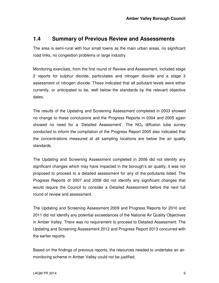#### **1.4 Summary of Previous Review and Assessments**

The area is semi-rural with four small towns as the main urban areas, no significant road links, no congestion problems or large industry.

Monitoring exercises, from the first round of Review and Assessment, included stage 2 reports for sulphur dioxide, particulates and nitrogen dioxide and a stage 3 assessment of nitrogen dioxide. These indicated that all pollutant levels were either currently, or anticipated to be, well below the standards by the relevant objective dates.

The results of the Updating and Screening Assessment completed in 2003 showed no change to these conclusions and the Progress Reports in 2004 and 2005 again showed no need for a 'Detailed Assessment'. The  $NO<sub>2</sub>$  diffusion tube survey conducted to inform the compilation of the Progress Report 2005 also indicated that the concentrations measured at all sampling locations are below the air quality standards.

The Updating and Screening Assessment completed in 2006 did not identify any significant changes which may have impacted in the borough's air quality; it was not proposed to proceed to a detailed assessment for any of the pollutants listed. The Progress Reports of 2007 and 2008 did not identify any significant changes that would require the Council to consider a Detailed Assessment before the next full round of review and assessment.

The Updating and Screening Assessment 2009 and Progress Reports for 2010 and 2011 did not identify any potential exceedances of the National Air Quality Objectives in Amber Valley. There was no requirement to proceed to Detailed Assessment. The Updating and Screening Assessment 2012 and Progress Report 2013 concurred with the earlier reports.

Based on the findings of previous reports, the resources needed to undertake an airmonitoring scheme in Amber Valley could not be justified.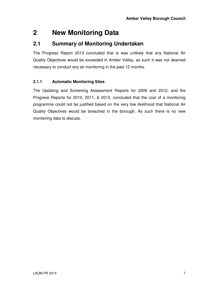## **2 New Monitoring Data**

#### **2.1 Summary of Monitoring Undertaken**

The Progress Report 2013 concluded that is was unlikely that any National Air Quality Objectives would be exceeded in Amber Valley, as such it was not deemed necessary to conduct any air monitoring in the past 12 months.

#### **2.1.1 Automatic Monitoring Sites**

The Updating and Screening Assessment Reports for 2009 and 2012, and the Progress Reports for 2010, 2011, & 2013, concluded that the cost of a monitoring programme could not be justified based on the very low likelihood that National Air Quality Objectives would be breached in the borough. As such there is no new monitoring data to discuss.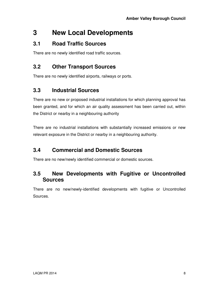## **3 New Local Developments**

### **3.1 Road Traffic Sources**

There are no newly identified road traffic sources.

### **3.2 Other Transport Sources**

There are no newly identified airports, railways or ports.

### **3.3 Industrial Sources**

There are no new or proposed industrial installations for which planning approval has been granted, and for which an air quality assessment has been carried out, within the District or nearby in a neighbouring authority

There are no industrial installations with substantially increased emissions or new relevant exposure in the District or nearby in a neighbouring authority.

### **3.4 Commercial and Domestic Sources**

There are no new/newly identified commercial or domestic sources.

#### **3.5 New Developments with Fugitive or Uncontrolled Sources**

There are no new/newly-identified developments with fugitive or Uncontrolled Sources.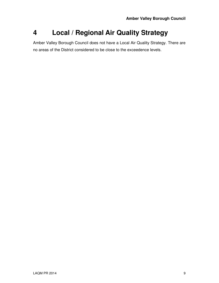## **4 Local / Regional Air Quality Strategy**

Amber Valley Borough Council does not have a Local Air Quality Strategy. There are no areas of the District considered to be close to the exceedence levels.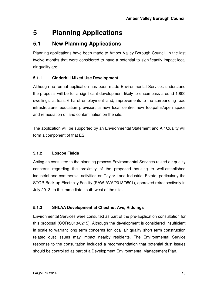## **5 Planning Applications**

### **5.1 New Planning Applications**

Planning applications have been made to Amber Valley Borough Council, in the last twelve months that were considered to have a potential to significantly impact local air quality are:

#### **5.1.1 Cinderhill Mixed Use Development**

Although no formal application has been made Environmental Services understand the proposal will be for a significant development likely to encompass around 1,800 dwellings, at least 6 ha of employment land, improvements to the surrounding road infrastructure, education provision, a new local centre, new footpaths/open space and remediation of land contamination on the site.

The application will be supported by an Environmental Statement and Air Quality will form a component of that ES.

#### **5.1.2 Loscoe Fields**

Acting as consultee to the planning process Environmental Services raised air quality concerns regarding the proximity of the proposed housing to well-established industrial and commercial activities on Taylor Lane Industrial Estate, particularly the STOR Back-up Electricity Facility (PAW-AVA/2013/0501), approved retrospectively in July 2013, to the immediate south-west of the site.

#### **5.1.3 SHLAA Development at Chestnut Ave, Riddings**

Environmental Services were consulted as part of the pre-application consultation for this proposal (COR/2013/0215). Although the development is considered insufficient in scale to warrant long term concerns for local air quality short term construction related dust issues may impact nearby residents. The Environmental Service response to the consultation included a recommendation that potential dust issues should be controlled as part of a Development Environmental Management Plan.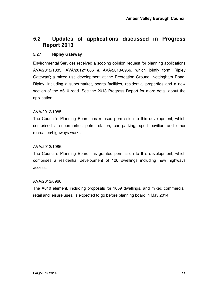#### **5.2 Updates of applications discussed in Progress Report 2013**

#### **5.2.1 Ripley Gateway**

Environmental Services received a scoping opinion request for planning applications AVA/2012/1085, AVA/2012/1086 & AVA/2013/0966, which jointly form 'Ripley Gateway'; a mixed use development at the Recreation Ground, Nottingham Road, Ripley, including a supermarket, sports facilities, residential properties and a new section of the A610 road. See the 2013 Progress Report for more detail about the application.

#### AVA/2012/1085

The Council's Planning Board has refused permission to this development, which comprised a supermarket, petrol station, car parking, sport pavilion and other recreation\highways works.

#### AVA/2012/1086.

The Council's Planning Board has granted permission to this development, which comprises a residential development of 126 dwellings including new highways access.

#### AVA/2013/0966

The A610 element, including proposals for 1059 dwellings, and mixed commercial, retail and leisure uses, is expected to go before planning board in May 2014.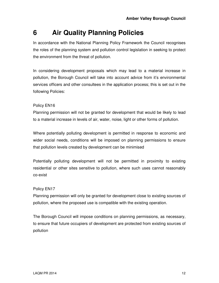## **6 Air Quality Planning Policies**

In accordance with the National Planning Policy Framework the Council recognises the roles of the planning system and pollution control legislation in seeking to protect the environment from the threat of pollution.

In considering development proposals which may lead to a material increase in pollution, the Borough Council will take into account advice from it's environmental services officers and other consultees in the application process; this is set out in the following Policies:

#### Policy EN16

Planning permission will not be granted for development that would be likely to lead to a material increase in levels of air, water, noise, light or other forms of pollution.

Where potentially polluting development is permitted in response to economic and wider social needs, conditions will be imposed on planning permissions to ensure that pollution levels created by development can be minimised

Potentially polluting development will not be permitted in proximity to existing residential or other sites sensitive to pollution, where such uses cannot reasonably co-exist

#### Policy EN17

Planning permission will only be granted for development close to existing sources of pollution, where the proposed use is compatible with the existing operation.

The Borough Council will impose conditions on planning permissions, as necessary, to ensure that future occupiers of development are protected from existing sources of pollution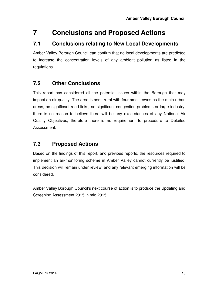## **7 Conclusions and Proposed Actions**

### **7.1 Conclusions relating to New Local Developments**

Amber Valley Borough Council can confirm that no local developments are predicted to increase the concentration levels of any ambient pollution as listed in the regulations.

### **7.2 Other Conclusions**

This report has considered all the potential issues within the Borough that may impact on air quality. The area is semi-rural with four small towns as the main urban areas, no significant road links, no significant congestion problems or large industry, there is no reason to believe there will be any exceedances of any National Air Quality Objectives, therefore there is no requirement to procedure to Detailed Assessment.

### **7.3 Proposed Actions**

Based on the findings of this report, and previous reports, the resources required to implement an air-monitoring scheme in Amber Valley cannot currently be justified. This decision will remain under review, and any relevant emerging information will be considered.

Amber Valley Borough Council's next course of action is to produce the Updating and Screening Assessment 2015 in mid 2015.